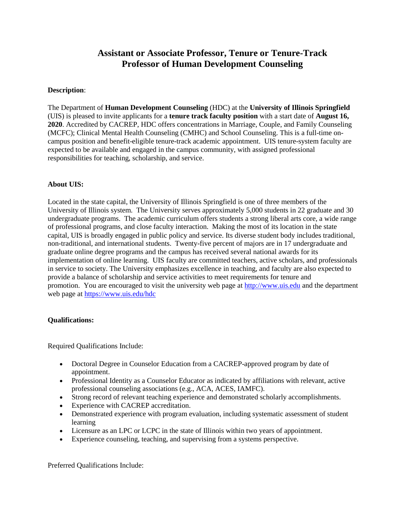# **Assistant or Associate Professor, Tenure or Tenure-Track Professor of Human Development Counseling**

### **Description**:

The Department of **Human Development Counseling** (HDC) at the **University of Illinois Springfield** (UIS) is pleased to invite applicants for a **tenure track faculty position** with a start date of **August 16, 2020**. Accredited by CACREP, HDC offers concentrations in Marriage, Couple, and Family Counseling (MCFC); Clinical Mental Health Counseling (CMHC) and School Counseling. This is a full-time oncampus position and benefit-eligible tenure-track academic appointment. UIS tenure-system faculty are expected to be available and engaged in the campus community, with assigned professional responsibilities for teaching, scholarship, and service.

#### **About UIS:**

Located in the state capital, the University of Illinois Springfield is one of three members of the University of Illinois system. The University serves approximately 5,000 students in 22 graduate and 30 undergraduate programs. The academic curriculum offers students a strong liberal arts core, a wide range of professional programs, and close faculty interaction. Making the most of its location in the state capital, UIS is broadly engaged in public policy and service. Its diverse student body includes traditional, non-traditional, and international students. Twenty-five percent of majors are in 17 undergraduate and graduate online degree programs and the campus has received several national awards for its implementation of online learning. UIS faculty are committed teachers, active scholars, and professionals in service to society. The University emphasizes excellence in teaching, and faculty are also expected to provide a balance of scholarship and service activities to meet requirements for tenure and promotion. You are encouraged to visit the university web page a[t http://www.uis.edu](http://www.uis.edu/) and the department web page at [https://www.uis.edu/hdc](http://www.uis.edu/hdc)

#### **Qualifications:**

Required Qualifications Include:

- Doctoral Degree in Counselor Education from a CACREP-approved program by date of appointment.
- Professional Identity as a Counselor Educator as indicated by affiliations with relevant, active professional counseling associations (e.g., ACA, ACES, IAMFC).
- Strong record of relevant teaching experience and demonstrated scholarly accomplishments.
- Experience with CACREP accreditation.
- Demonstrated experience with program evaluation, including systematic assessment of student learning
- Licensure as an LPC or LCPC in the state of Illinois within two years of appointment.
- Experience counseling, teaching, and supervising from a systems perspective.

Preferred Qualifications Include: